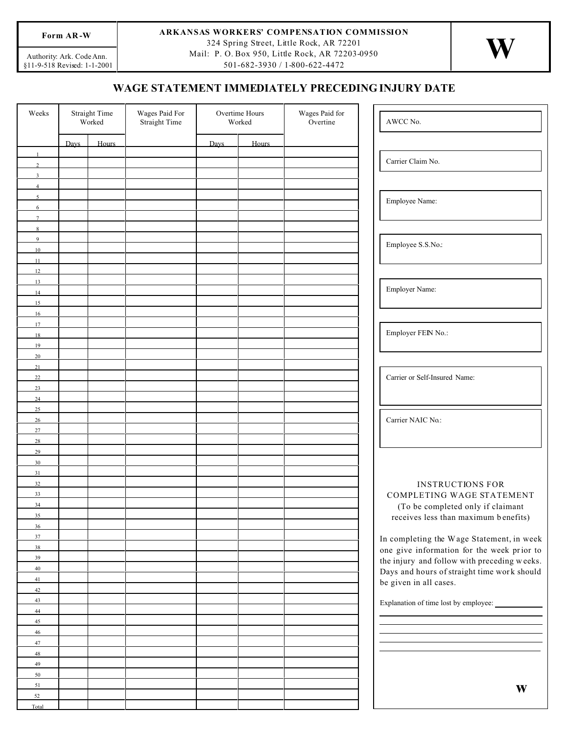## §11-9-518 Revis ed: 1-1-2001 Authority: Ark. Code Ann.

## Form AR-W **ARKANSAS WORKERS' COMPENSATION COMMISSION**

324 Spring Street, Little Rock, AR 72201 Mail: P. O. Box 950, Little Rock, AR 72203-0950

501-682-3930 / 1-800-622-4472

## **WAGE STATEMENT IMMEDIATELY PRECEDING INJURY DATE**

| Weeks               | <b>Straight Time</b><br>Worked |       | Wages Paid For<br><b>Straight Time</b> | Overtime Hours<br>Worked |       | Wages Paid for<br>Overtine | AWCC No.                                    |
|---------------------|--------------------------------|-------|----------------------------------------|--------------------------|-------|----------------------------|---------------------------------------------|
|                     | Davs                           | Hours |                                        | Davs                     | Hours |                            |                                             |
|                     |                                |       |                                        |                          |       |                            |                                             |
| $\mathcal{L}$       |                                |       |                                        |                          |       |                            | Carrier Claim No.                           |
| $\mathbf{3}$        |                                |       |                                        |                          |       |                            |                                             |
| $\overline{4}$      |                                |       |                                        |                          |       |                            |                                             |
| $\mathcal{L}$       |                                |       |                                        |                          |       |                            | Employee Name:                              |
| 6<br>$\overline{7}$ |                                |       |                                        |                          |       |                            |                                             |
| 8                   |                                |       |                                        |                          |       |                            |                                             |
| 9                   |                                |       |                                        |                          |       |                            |                                             |
| 10                  |                                |       |                                        |                          |       |                            | Employee S.S.No.:                           |
| 11                  |                                |       |                                        |                          |       |                            |                                             |
| 12                  |                                |       |                                        |                          |       |                            |                                             |
| 13                  |                                |       |                                        |                          |       |                            |                                             |
| 14                  |                                |       |                                        |                          |       |                            | Employer Name:                              |
| 15                  |                                |       |                                        |                          |       |                            |                                             |
| 16<br>17            |                                |       |                                        |                          |       |                            |                                             |
| 18                  |                                |       |                                        |                          |       |                            | Employer FEIN No.:                          |
| 19                  |                                |       |                                        |                          |       |                            |                                             |
| 20                  |                                |       |                                        |                          |       |                            |                                             |
| 21                  |                                |       |                                        |                          |       |                            |                                             |
| 22                  |                                |       |                                        |                          |       |                            | Carrier or Self-Insured Name:               |
| 23                  |                                |       |                                        |                          |       |                            |                                             |
| 24                  |                                |       |                                        |                          |       |                            |                                             |
| 25<br>26            |                                |       |                                        |                          |       |                            | Carrier NAIC No.:                           |
| 27                  |                                |       |                                        |                          |       |                            |                                             |
| 28                  |                                |       |                                        |                          |       |                            |                                             |
| 29                  |                                |       |                                        |                          |       |                            |                                             |
| 30                  |                                |       |                                        |                          |       |                            |                                             |
| 31                  |                                |       |                                        |                          |       |                            |                                             |
| 32                  |                                |       |                                        |                          |       |                            | <b>INSTRUCTIONS FOR</b>                     |
| 33                  |                                |       |                                        |                          |       |                            | COMPLETING WAGE STATEMENT                   |
| 34<br>35            |                                |       |                                        |                          |       |                            | (To be completed only if claimant           |
| 36                  |                                |       |                                        |                          |       |                            | receives less than maximum benefits)        |
| 37                  |                                |       |                                        |                          |       |                            | In completing the Wage Statement, in week   |
| 38                  |                                |       |                                        |                          |       |                            | one give information for the week prior to  |
| 39                  |                                |       |                                        |                          |       |                            | the injury and follow with preceding weeks. |
| 40                  |                                |       |                                        |                          |       |                            | Days and hours of straight time work should |
| 41                  |                                |       |                                        |                          |       |                            | be given in all cases.                      |
| 42                  |                                |       |                                        |                          |       |                            |                                             |
| 43<br>44            |                                |       |                                        |                          |       |                            |                                             |
| 45                  |                                |       |                                        |                          |       |                            |                                             |
| $46\phantom{.}$     |                                |       |                                        |                          |       |                            |                                             |
| 47                  |                                |       |                                        |                          |       |                            |                                             |
| 48                  |                                |       |                                        |                          |       |                            |                                             |
| 49                  |                                |       |                                        |                          |       |                            |                                             |
| 50                  |                                |       |                                        |                          |       |                            |                                             |
| 51                  |                                |       |                                        |                          |       |                            | W                                           |
| 52<br>Total         |                                |       |                                        |                          |       |                            |                                             |